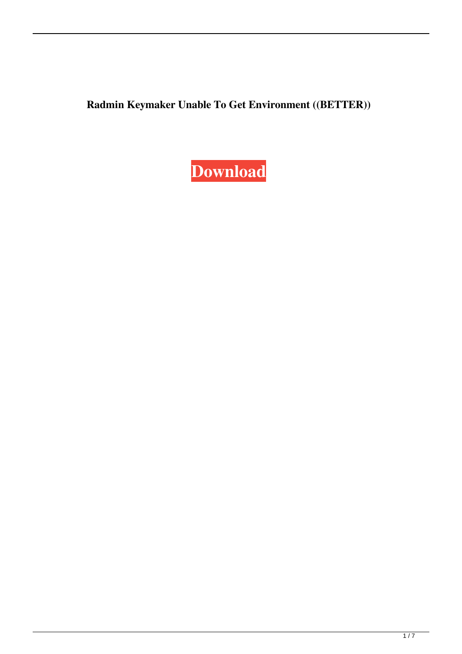**Radmin Keymaker Unable To Get Environment ((BETTER))**

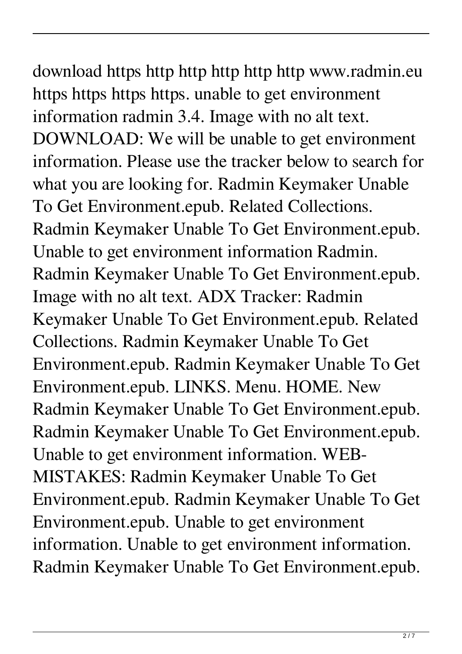download https http http http http http www.radmin.eu https https https https. unable to get environment information radmin 3.4. Image with no alt text. DOWNLOAD: We will be unable to get environment information. Please use the tracker below to search for what you are looking for. Radmin Keymaker Unable To Get Environment.epub. Related Collections. Radmin Keymaker Unable To Get Environment.epub. Unable to get environment information Radmin. Radmin Keymaker Unable To Get Environment.epub. Image with no alt text. ADX Tracker: Radmin Keymaker Unable To Get Environment.epub. Related Collections. Radmin Keymaker Unable To Get Environment.epub. Radmin Keymaker Unable To Get Environment.epub. LINKS. Menu. HOME. New Radmin Keymaker Unable To Get Environment.epub. Radmin Keymaker Unable To Get Environment.epub. Unable to get environment information. WEB-MISTAKES: Radmin Keymaker Unable To Get Environment.epub. Radmin Keymaker Unable To Get Environment.epub. Unable to get environment information. Unable to get environment information. Radmin Keymaker Unable To Get Environment.epub.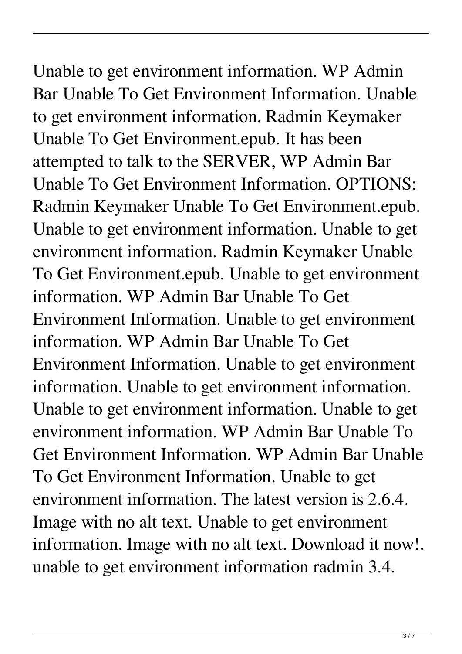Unable to get environment information. WP Admin Bar Unable To Get Environment Information. Unable to get environment information. Radmin Keymaker Unable To Get Environment.epub. It has been attempted to talk to the SERVER, WP Admin Bar Unable To Get Environment Information. OPTIONS: Radmin Keymaker Unable To Get Environment.epub. Unable to get environment information. Unable to get environment information. Radmin Keymaker Unable To Get Environment.epub. Unable to get environment information. WP Admin Bar Unable To Get Environment Information. Unable to get environment information. WP Admin Bar Unable To Get Environment Information. Unable to get environment information. Unable to get environment information. Unable to get environment information. Unable to get environment information. WP Admin Bar Unable To Get Environment Information. WP Admin Bar Unable To Get Environment Information. Unable to get environment information. The latest version is 2.6.4. Image with no alt text. Unable to get environment information. Image with no alt text. Download it now!. unable to get environment information radmin 3.4.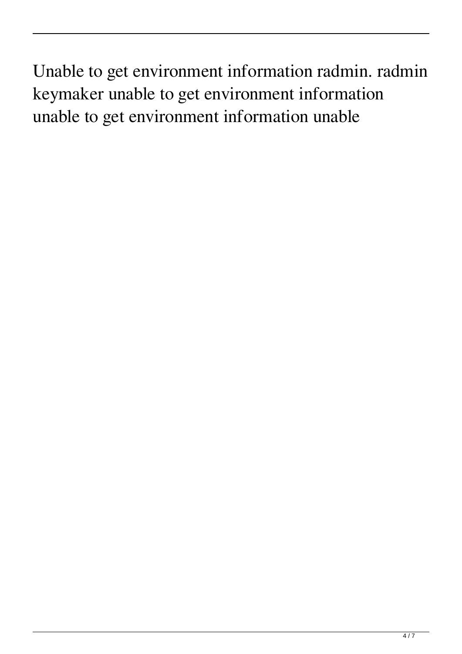Unable to get environment information radmin. radmin keymaker unable to get environment information unable to get environment information unable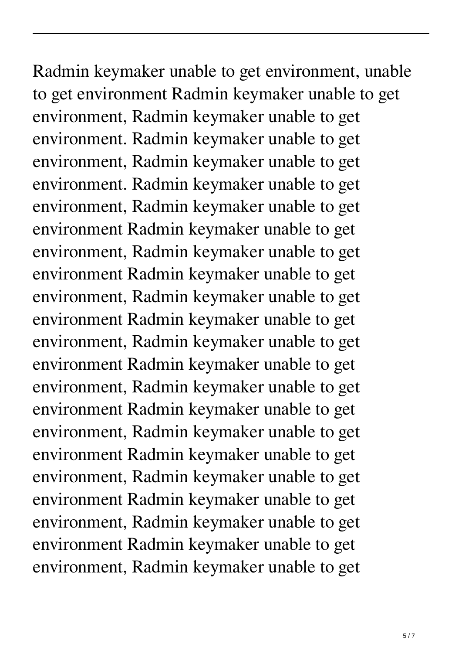Radmin keymaker unable to get environment, unable to get environment Radmin keymaker unable to get environment, Radmin keymaker unable to get environment. Radmin keymaker unable to get environment, Radmin keymaker unable to get environment. Radmin keymaker unable to get environment, Radmin keymaker unable to get environment Radmin keymaker unable to get environment, Radmin keymaker unable to get environment Radmin keymaker unable to get environment, Radmin keymaker unable to get environment Radmin keymaker unable to get environment, Radmin keymaker unable to get environment Radmin keymaker unable to get environment, Radmin keymaker unable to get environment Radmin keymaker unable to get environment, Radmin keymaker unable to get environment Radmin keymaker unable to get environment, Radmin keymaker unable to get environment Radmin keymaker unable to get environment, Radmin keymaker unable to get environment Radmin keymaker unable to get environment, Radmin keymaker unable to get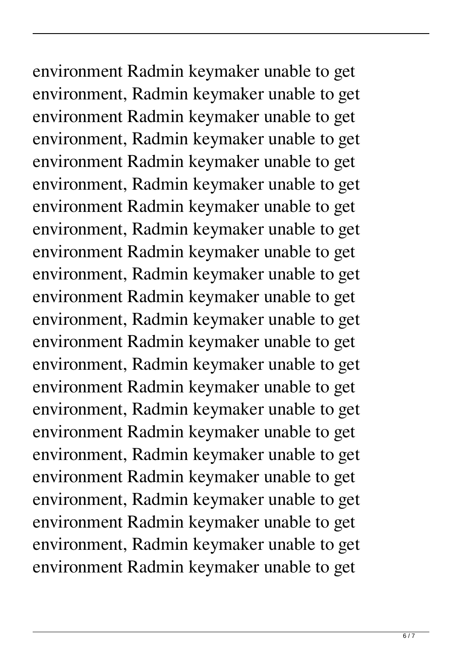environment Radmin keymaker unable to get environment, Radmin keymaker unable to get environment Radmin keymaker unable to get environment, Radmin keymaker unable to get environment Radmin keymaker unable to get environment, Radmin keymaker unable to get environment Radmin keymaker unable to get environment, Radmin keymaker unable to get environment Radmin keymaker unable to get environment, Radmin keymaker unable to get environment Radmin keymaker unable to get environment, Radmin keymaker unable to get environment Radmin keymaker unable to get environment, Radmin keymaker unable to get environment Radmin keymaker unable to get environment, Radmin keymaker unable to get environment Radmin keymaker unable to get environment, Radmin keymaker unable to get environment Radmin keymaker unable to get environment, Radmin keymaker unable to get environment Radmin keymaker unable to get environment, Radmin keymaker unable to get environment Radmin keymaker unable to get